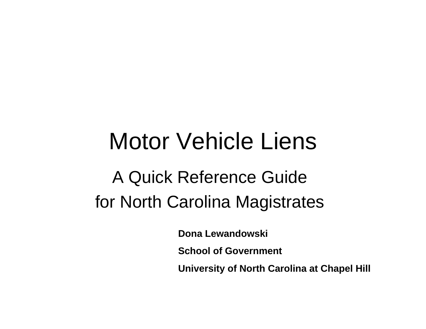# Motor Vehicle Liens

## A Quick Reference Guide for North Carolina Magistrates

**Dona Lewandowski**

**School of Government**

**University of North Carolina at Chapel Hill**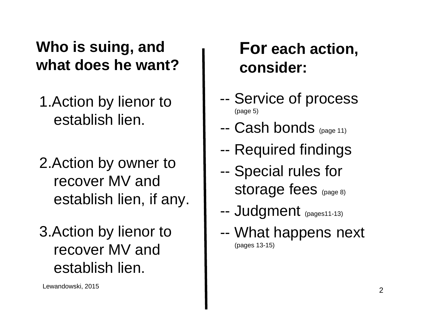#### **Who is suing, and what does he want?**

- 1.Action by lienor to establish lien.
- 2.Action by owner to recover MV and establish lien, if any.
- 3.Action by lienor to recover MV and establish lien.

Lewandowski, 2015 <sup>2</sup>

#### **For each action, consider:**

- -- Service of process (page 5)
- --Cash bonds (page 11)
- --Required findings
- -- Special rules for storage fees (page 8)
- --Judgment (pages11-13)
- -- What happens next (pages 13-15)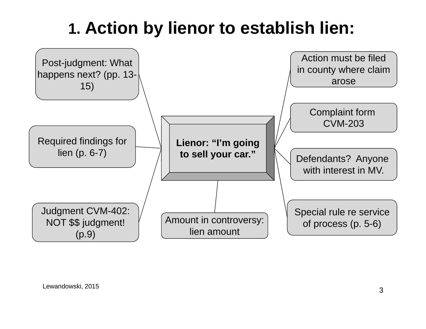## **1. Action by lienor to establish lien:**

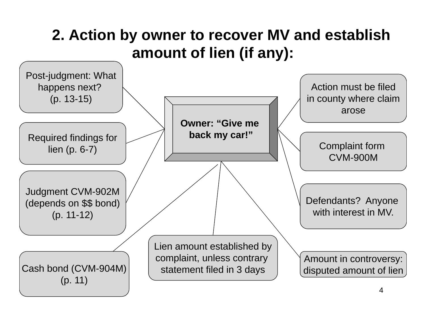#### **2. Action by owner to recover MV and establish amount of lien (if any):**

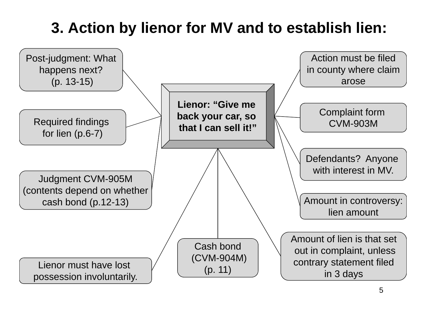#### **3. Action by lienor for MV and to establish lien:**

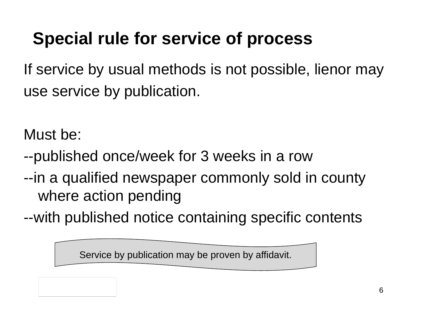## **Special rule for service of process**

If service by usual methods is not possible, lienor may use service by publication.

Must be:

- --published once/week for 3 weeks in a row
- --in a qualified newspaper commonly sold in county where action pending
- --with published notice containing specific contents

Service by publication may be proven by affidavit.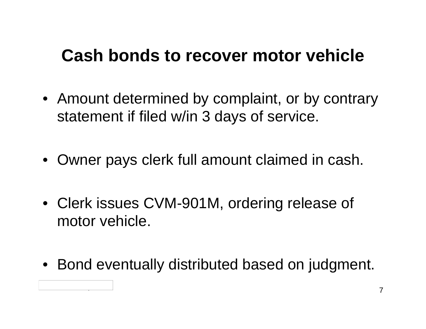#### **Cash bonds to recover motor vehicle**

- Amount determined by complaint, or by contrary statement if filed w/in 3 days of service.
- Owner pays clerk full amount claimed in cash.
- Clerk issues CVM-901M, ordering release of motor vehicle.
- Bond eventually distributed based on judgment.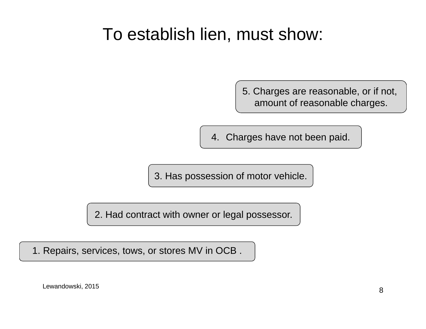#### To establish lien, must show:

5. Charges are reasonable, or if not, amount of reasonable charges.

4. Charges have not been paid.

3. Has possession of motor vehicle.

2. Had contract with owner or legal possessor.

1. Repairs, services, tows, or stores MV in OCB .

Lewandowski, 2015 <sup>8</sup>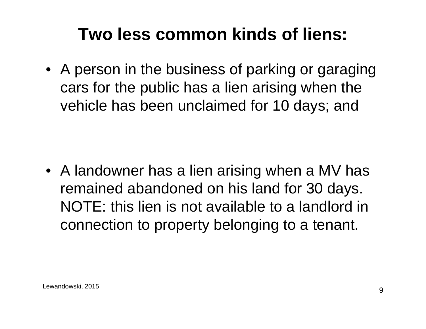### **Two less common kinds of liens:**

• A person in the business of parking or garaging cars for the public has a lien arising when the vehicle has been unclaimed for 10 days; and

• A landowner has a lien arising when a MV has remained abandoned on his land for 30 days. NOTE: this lien is not available to a landlord in connection to property belonging to a tenant.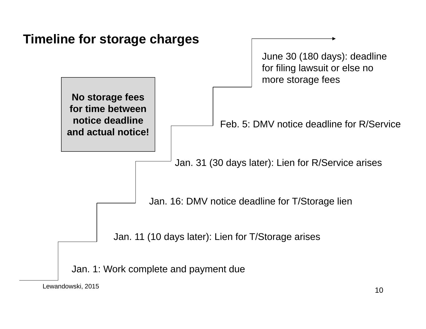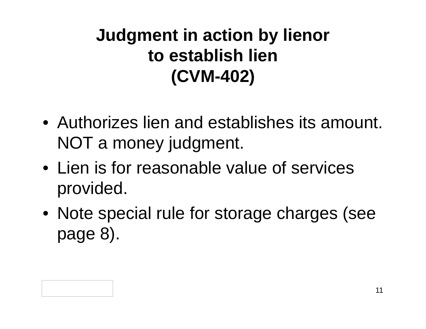## **Judgment in action by lienor to establish lien(CVM-402)**

- Authorizes lien and establishes its amount. NOT a money judgment.
- Lien is for reasonable value of services provided.
- Note special rule for storage charges (see page 8).

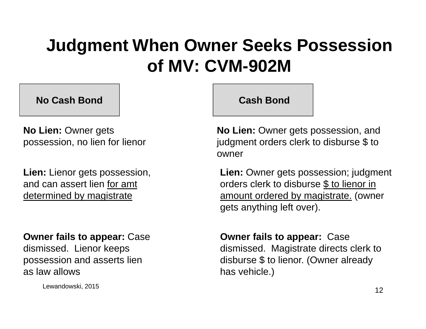### **Judgment When Owner Seeks Possession of MV: CVM-902M**

**No Cash Bond**

**No Lien:** Owner gets possession, no lien for lienor

**Lien:** Lienor gets possession, and can assert lien for amt determined by magistrate

#### **Owner fails to appear:** Case

dismissed. Lienor keeps possession and asserts lien as law allows

Lewandowski, 2015 <sup>12</sup>

#### **Cash Bond**

**No Lien:** Owner gets possession, and judgment orders clerk to disburse \$ to owner

**Lien:** Owner gets possession; judgment orders clerk to disburse \$ to lienor in amount ordered by magistrate. (owner gets anything left over).

**Owner fails to appear:** Case dismissed. Magistrate directs clerk to disburse \$ to lienor. (Owner already has vehicle.)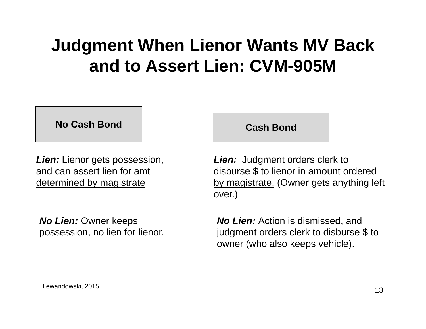### **Judgment When Lienor Wants MV Back and to Assert Lien: CVM-905M**

**No Cash Bond**

**Lien:** Lienor gets possession, and can assert lien for amt determined by magistrate

*No Lien:* Owner keeps possession, no lien for lienor. **Cash Bond**

**Lien:** Judgment orders clerk to disburse \$ to lienor in amount ordered by magistrate. (Owner gets anything left over.)

*No Lien:* Action is dismissed, and judgment orders clerk to disburse \$ to owner (who also keeps vehicle).